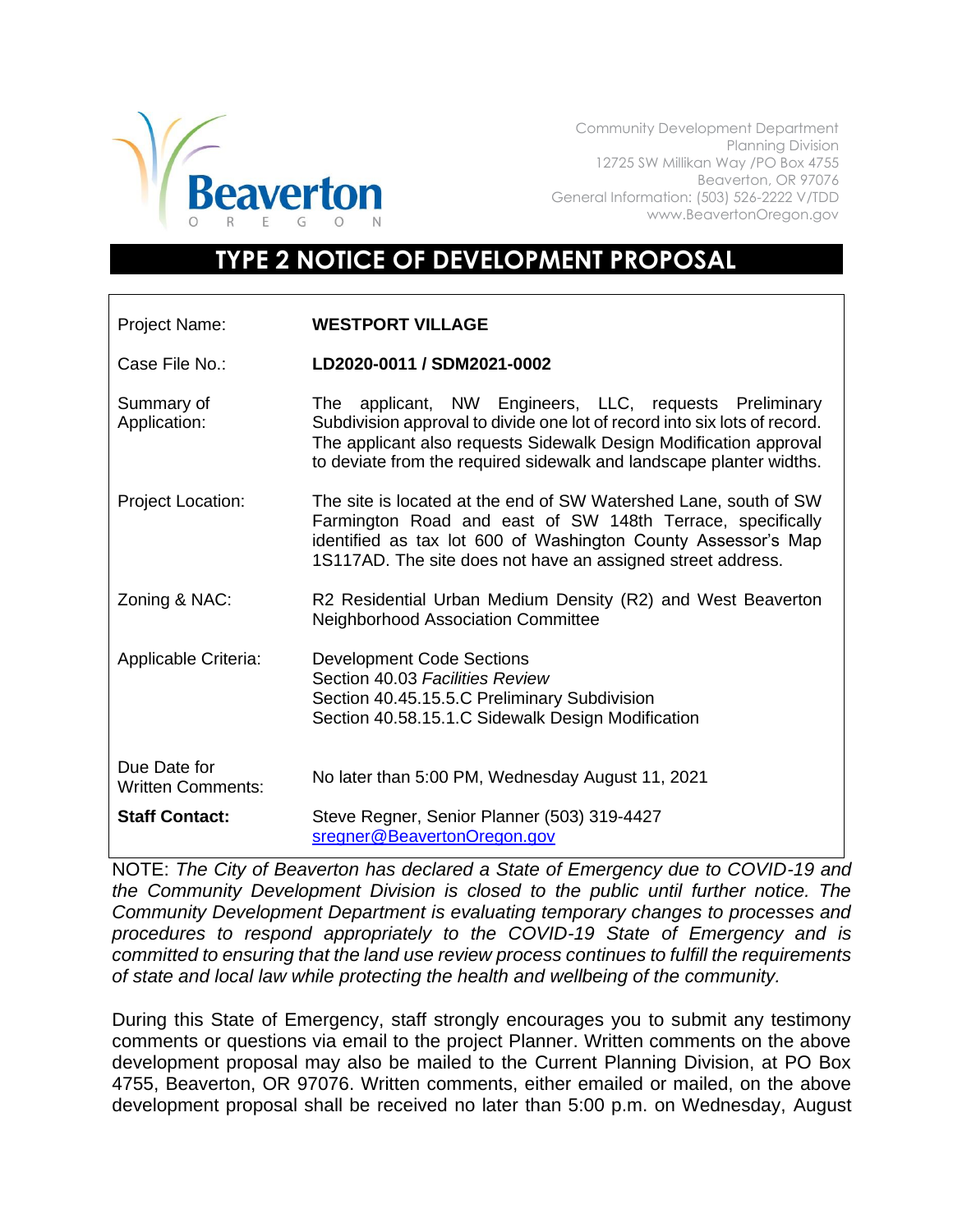

Community Development Department Planning Division 12725 SW Millikan Way /PO Box 4755 Beaverton, OR 97076 General Information: (503) 526-2222 V/TDD www.BeavertonOregon.gov

## **TYPE 2 NOTICE OF DEVELOPMENT PROPOSAL**

| Project Name:                            | <b>WESTPORT VILLAGE</b>                                                                                                                                                                                                                                                         |
|------------------------------------------|---------------------------------------------------------------------------------------------------------------------------------------------------------------------------------------------------------------------------------------------------------------------------------|
| Case File No.:                           | LD2020-0011 / SDM2021-0002                                                                                                                                                                                                                                                      |
| Summary of<br>Application:               | The applicant, NW Engineers, LLC, requests Preliminary<br>Subdivision approval to divide one lot of record into six lots of record.<br>The applicant also requests Sidewalk Design Modification approval<br>to deviate from the required sidewalk and landscape planter widths. |
| <b>Project Location:</b>                 | The site is located at the end of SW Watershed Lane, south of SW<br>Farmington Road and east of SW 148th Terrace, specifically<br>identified as tax lot 600 of Washington County Assessor's Map<br>1S117AD. The site does not have an assigned street address.                  |
| Zoning & NAC:                            | R2 Residential Urban Medium Density (R2) and West Beaverton<br><b>Neighborhood Association Committee</b>                                                                                                                                                                        |
| Applicable Criteria:                     | <b>Development Code Sections</b><br>Section 40.03 Facilities Review<br>Section 40.45.15.5.C Preliminary Subdivision<br>Section 40.58.15.1.C Sidewalk Design Modification                                                                                                        |
| Due Date for<br><b>Written Comments:</b> | No later than 5:00 PM, Wednesday August 11, 2021                                                                                                                                                                                                                                |
| <b>Staff Contact:</b>                    | Steve Regner, Senior Planner (503) 319-4427<br>sregner@BeavertonOregon.gov                                                                                                                                                                                                      |

NOTE: *The City of Beaverton has declared a State of Emergency due to COVID-19 and the Community Development Division is closed to the public until further notice. The Community Development Department is evaluating temporary changes to processes and procedures to respond appropriately to the COVID-19 State of Emergency and is committed to ensuring that the land use review process continues to fulfill the requirements of state and local law while protecting the health and wellbeing of the community.*

During this State of Emergency, staff strongly encourages you to submit any testimony comments or questions via email to the project Planner. Written comments on the above development proposal may also be mailed to the Current Planning Division, at PO Box 4755, Beaverton, OR 97076. Written comments, either emailed or mailed, on the above development proposal shall be received no later than 5:00 p.m. on Wednesday, August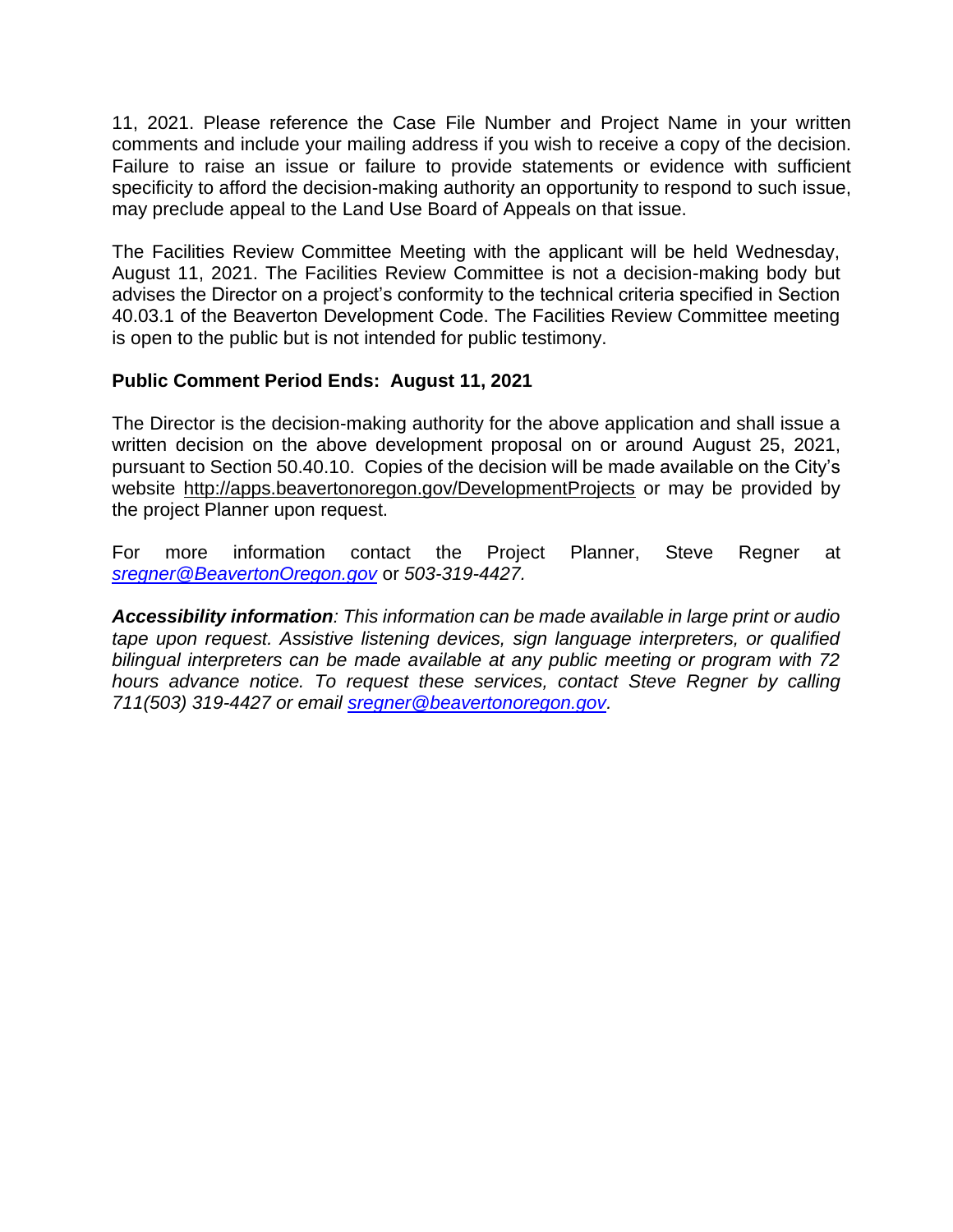11, 2021. Please reference the Case File Number and Project Name in your written comments and include your mailing address if you wish to receive a copy of the decision. Failure to raise an issue or failure to provide statements or evidence with sufficient specificity to afford the decision-making authority an opportunity to respond to such issue, may preclude appeal to the Land Use Board of Appeals on that issue.

The Facilities Review Committee Meeting with the applicant will be held Wednesday, August 11, 2021. The Facilities Review Committee is not a decision-making body but advises the Director on a project's conformity to the technical criteria specified in Section 40.03.1 of the Beaverton Development Code. The Facilities Review Committee meeting is open to the public but is not intended for public testimony.

## **Public Comment Period Ends: August 11, 2021**

The Director is the decision-making authority for the above application and shall issue a written decision on the above development proposal on or around August 25, 2021, pursuant to Section 50.40.10. Copies of the decision will be made available on the City's website<http://apps.beavertonoregon.gov/DevelopmentProjects> or may be provided by the project Planner upon request.

For more information contact the Project Planner, Steve Regner at *[sregner@BeavertonOregon.gov](mailto:sregner@BeavertonOregon.gov)* or *503-319-4427.* 

*Accessibility information: This information can be made available in large print or audio tape upon request. Assistive listening devices, sign language interpreters, or qualified bilingual interpreters can be made available at any public meeting or program with 72 hours advance notice. To request these services, contact Steve Regner by calling 711(503) 319-4427 or email [sregner@beavertonoregon.gov.](mailto:sregner@beavertonoregon.gov)*